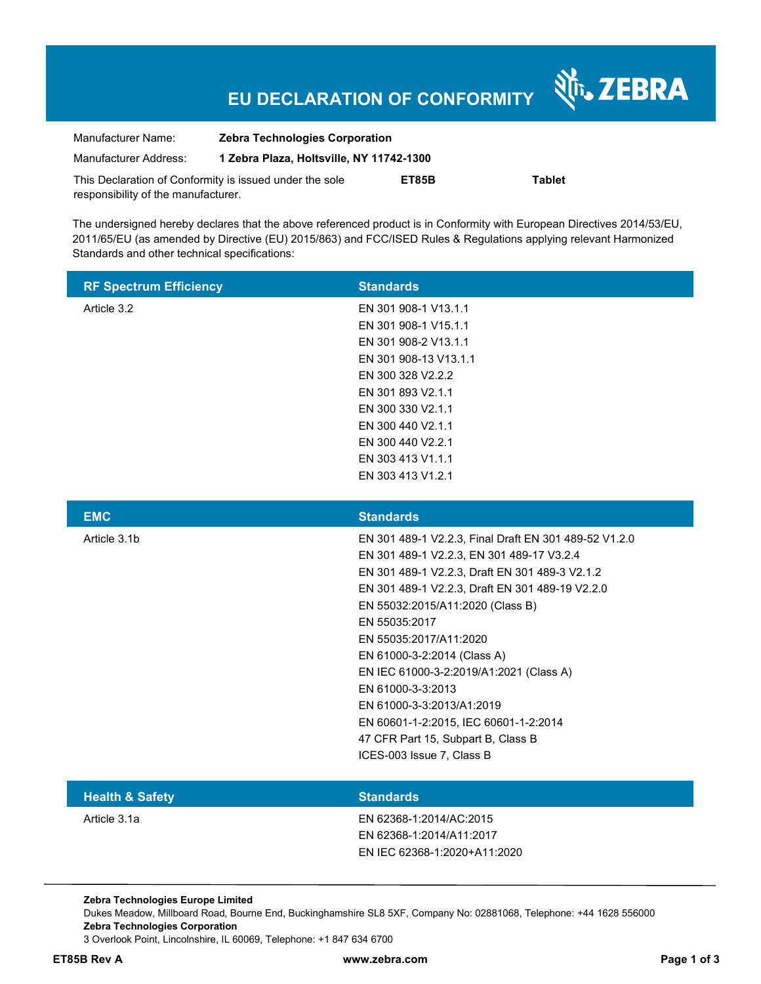## **EU DECLARATION OF CONFORMITY**

Nr. ZEBRA

| Manufacturer Name:                                      | <b>Zebra Technologies Corporation</b>    |       |               |
|---------------------------------------------------------|------------------------------------------|-------|---------------|
| Manufacturer Address:                                   | 1 Zebra Plaza, Holtsville, NY 11742-1300 |       |               |
| This Declaration of Conformity is issued under the sole |                                          | ET85B | <b>Tablet</b> |
| responsibility of the manufacturer.                     |                                          |       |               |

The undersigned hereby declares that the above referenced product is in Conformity with European Directives 2014/53/EU, 2011/65/EU (as amended by Directive (EU) 2015/863) and FCC/ISED Rules & Regulations applying relevant Harmonized Standards and other technical specifications:

| <b>RF Spectrum Efficiency</b> | <b>Standards</b>      |
|-------------------------------|-----------------------|
| Article 3.2                   | EN 301 908-1 V13.1.1  |
|                               | EN 301 908-1 V15.1.1  |
|                               | EN 301 908-2 V13.1.1  |
|                               | EN 301 908-13 V13.1.1 |
|                               | EN 300 328 V2.2.2     |
|                               | EN 301 893 V2.1.1     |
|                               | EN 300 330 V2.1.1     |
|                               | EN 300 440 V2.1.1     |
|                               | EN 300 440 V2.2.1     |
|                               | EN 303 413 V1.1.1     |
|                               | EN 303 413 V1.2.1     |

| <b>EMC</b>   | <b>Standards</b>                                      |
|--------------|-------------------------------------------------------|
| Article 3.1b | EN 301 489-1 V2.2.3, Final Draft EN 301 489-52 V1.2.0 |
|              | EN 301 489-1 V2.2.3, EN 301 489-17 V3.2.4             |
|              | EN 301 489-1 V2.2.3, Draft EN 301 489-3 V2.1.2        |
|              | EN 301 489-1 V2.2.3, Draft EN 301 489-19 V2.2.0       |
|              | EN 55032:2015/A11:2020 (Class B)                      |
|              | EN 55035:2017                                         |
|              | EN 55035:2017/A11:2020                                |
|              | EN 61000-3-2:2014 (Class A)                           |
|              | EN IEC 61000-3-2:2019/A1:2021 (Class A)               |
|              | EN 61000-3-3:2013                                     |
|              | EN 61000-3-3:2013/A1:2019                             |
|              | EN 60601-1-2:2015, IEC 60601-1-2:2014                 |
|              | 47 CFR Part 15, Subpart B, Class B                    |
|              | ICES-003 Issue 7, Class B                             |
|              |                                                       |

| <b>Health &amp; Safety</b> | <b>Standards</b>             |
|----------------------------|------------------------------|
| Article 3.1a               | EN 62368-1:2014/AC:2015      |
|                            | EN 62368-1:2014/A11:2017     |
|                            | EN IEC 62368-1:2020+A11:2020 |

**Zebra Technologies Europe Limited**  Dukes Meadow, Millboard Road, Bourne End, Buckinghamshire SL8 5XF, Company No: 02881068, Telephone: +44 1628 556000 **Zebra Technologies Corporation**  3 Overlook Point, Lincolnshire, IL 60069, Telephone: +1 847 634 6700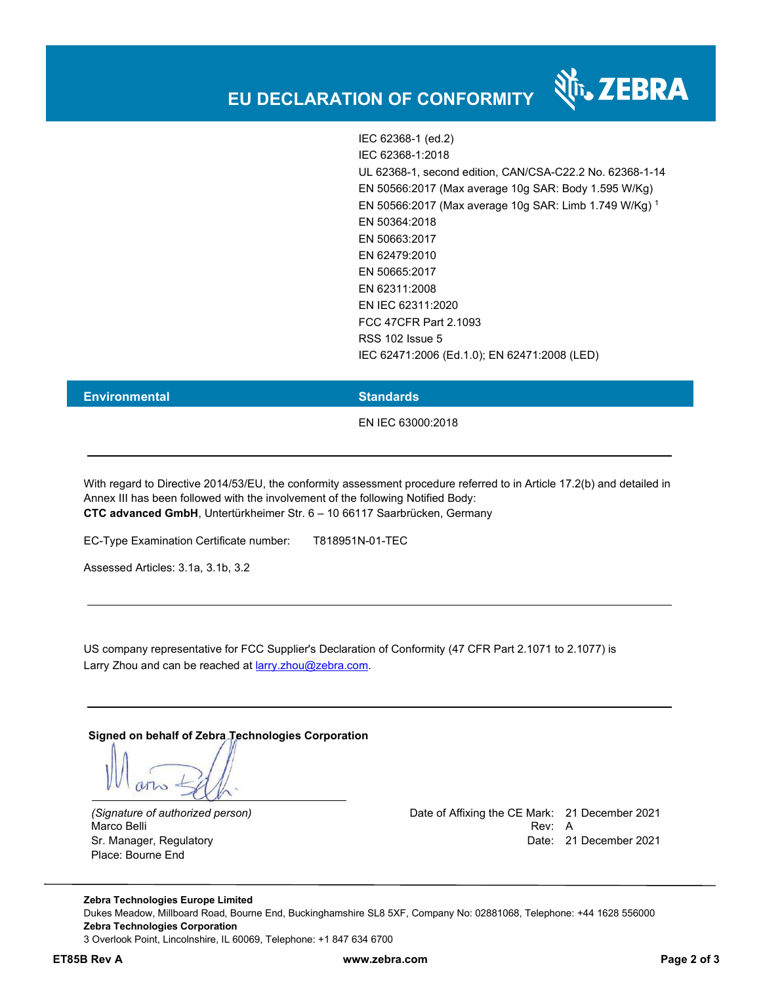

र्शे<sub>ं</sub> ZEBRA

#### **Environmental Standards**

EN IEC 63000:2018

With regard to Directive 2014/53/EU, the conformity assessment procedure referred to in Article 17.2(b) and detailed in Annex III has been followed with the involvement of the following Notified Body: **CTC advanced GmbH**, Untertürkheimer Str. 6 – 10 66117 Saarbrücken, Germany

EC-Type Examination Certificate number: T818951N-01-TEC

Assessed Articles: 3.1a, 3.1b, 3.2

US company representative for FCC Supplier's Declaration of Conformity (47 CFR Part 2.1071 to 2.1077) is Larry Zhou and can be reached at larry.zhou@zebra.com.

**Signed on behalf of Zebra Technologies Corporation** 

Place: Bourne End

*(Signature of authorized person)* Date of Affixing the CE Mark: 21 December 2021 Marco Belli Rev: A Sr. Manager, Regulatory Date: 21 December 2021

**Zebra Technologies Europe Limited**  Dukes Meadow, Millboard Road, Bourne End, Buckinghamshire SL8 5XF, Company No: 02881068, Telephone: +44 1628 556000 **Zebra Technologies Corporation**  3 Overlook Point, Lincolnshire, IL 60069, Telephone: +1 847 634 6700

**ET85B Rev A www.zebra.com Page 2 of 3**